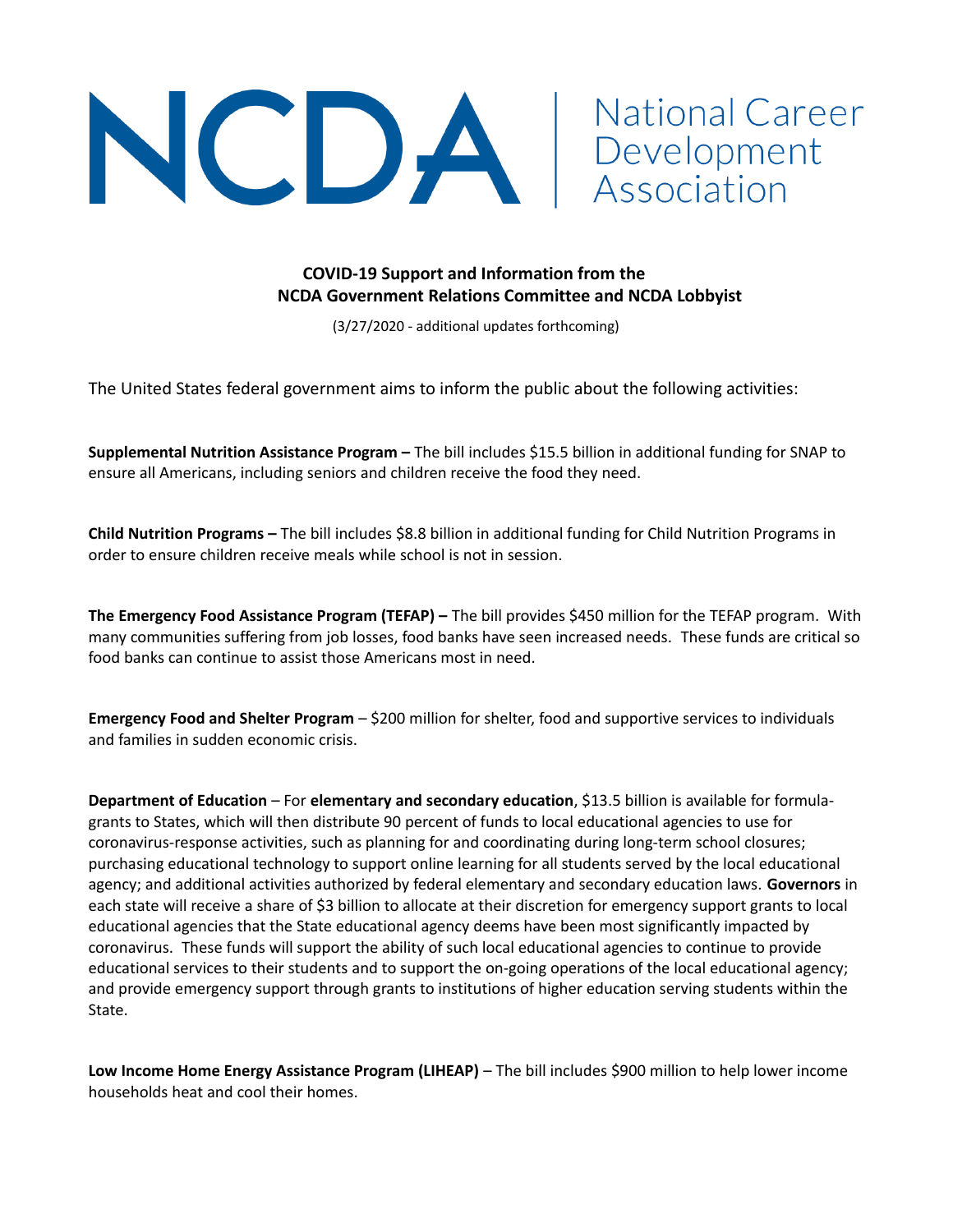

## **COVID-19 Support and Information from the NCDA Government Relations Committee and NCDA Lobbyist**

**National Career** 

(3/27/2020 - additional updates forthcoming)

The United States federal government aims to inform the public about the following activities:

**Supplemental Nutrition Assistance Program –** The bill includes \$15.5 billion in additional funding for SNAP to ensure all Americans, including seniors and children receive the food they need.

**Child Nutrition Programs –** The bill includes \$8.8 billion in additional funding for Child Nutrition Programs in order to ensure children receive meals while school is not in session.

**The Emergency Food Assistance Program (TEFAP) –** The bill provides \$450 million for the TEFAP program. With many communities suffering from job losses, food banks have seen increased needs. These funds are critical so food banks can continue to assist those Americans most in need.

**Emergency Food and Shelter Program** – \$200 million for shelter, food and supportive services to individuals and families in sudden economic crisis.

**Department of Education** – For **elementary and secondary education**, \$13.5 billion is available for formulagrants to States, which will then distribute 90 percent of funds to local educational agencies to use for coronavirus-response activities, such as planning for and coordinating during long-term school closures; purchasing educational technology to support online learning for all students served by the local educational agency; and additional activities authorized by federal elementary and secondary education laws. **Governors** in each state will receive a share of \$3 billion to allocate at their discretion for emergency support grants to local educational agencies that the State educational agency deems have been most significantly impacted by coronavirus. These funds will support the ability of such local educational agencies to continue to provide educational services to their students and to support the on-going operations of the local educational agency; and provide emergency support through grants to institutions of higher education serving students within the State.

**Low Income Home Energy Assistance Program (LIHEAP)** – The bill includes \$900 million to help lower income households heat and cool their homes.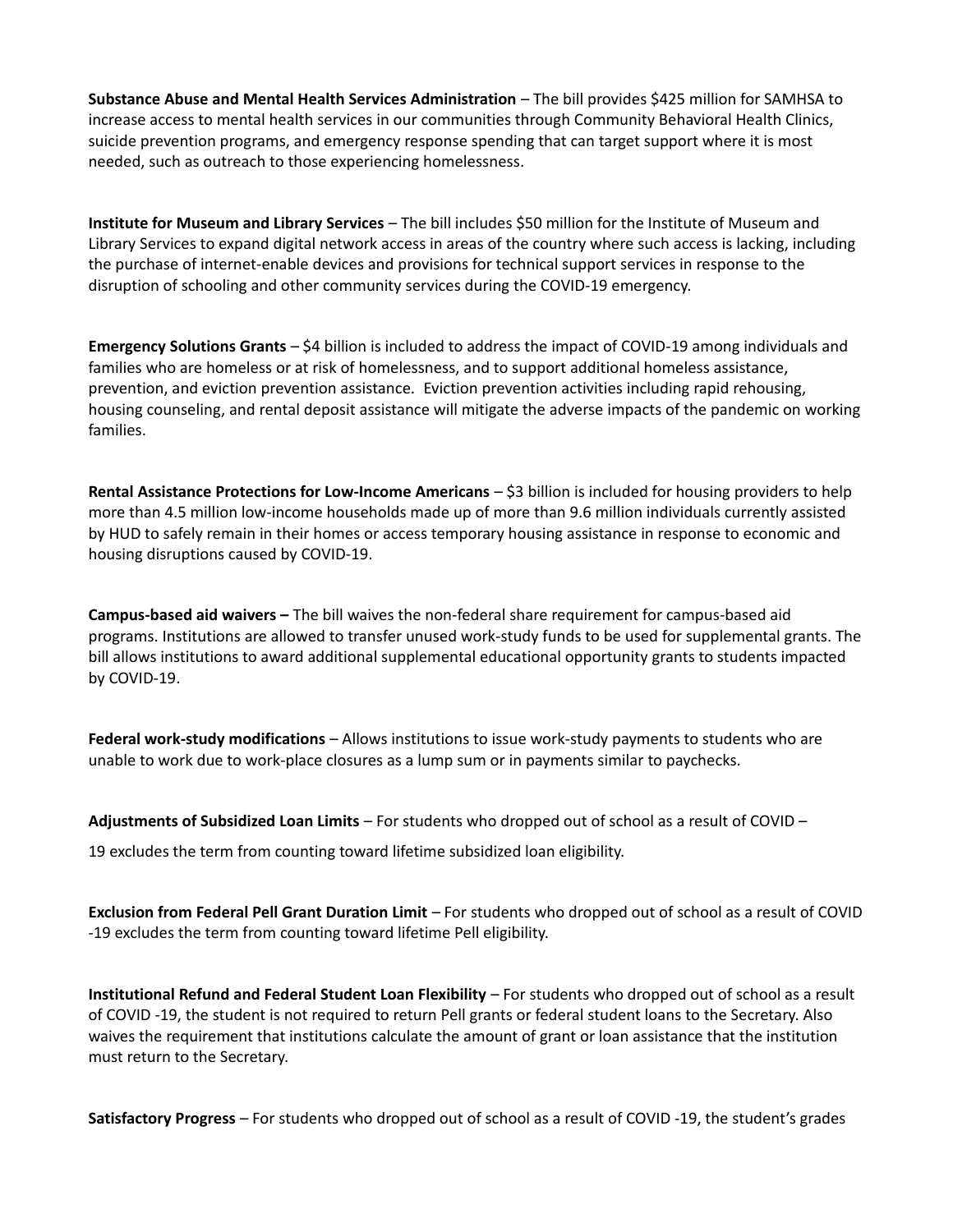**Substance Abuse and Mental Health Services Administration** – The bill provides \$425 million for SAMHSA to increase access to mental health services in our communities through Community Behavioral Health Clinics, suicide prevention programs, and emergency response spending that can target support where it is most needed, such as outreach to those experiencing homelessness.

**Institute for Museum and Library Services** – The bill includes \$50 million for the Institute of Museum and Library Services to expand digital network access in areas of the country where such access is lacking, including the purchase of internet-enable devices and provisions for technical support services in response to the disruption of schooling and other community services during the COVID-19 emergency.

**Emergency Solutions Grants** – \$4 billion is included to address the impact of COVID-19 among individuals and families who are homeless or at risk of homelessness, and to support additional homeless assistance, prevention, and eviction prevention assistance. Eviction prevention activities including rapid rehousing, housing counseling, and rental deposit assistance will mitigate the adverse impacts of the pandemic on working families.

**Rental Assistance Protections for Low-Income Americans** – \$3 billion is included for housing providers to help more than 4.5 million low-income households made up of more than 9.6 million individuals currently assisted by HUD to safely remain in their homes or access temporary housing assistance in response to economic and housing disruptions caused by COVID-19.

**Campus-based aid waivers –** The bill waives the non-federal share requirement for campus-based aid programs. Institutions are allowed to transfer unused work-study funds to be used for supplemental grants. The bill allows institutions to award additional supplemental educational opportunity grants to students impacted by COVID-19.

**Federal work-study modifications** – Allows institutions to issue work-study payments to students who are unable to work due to work-place closures as a lump sum or in payments similar to paychecks.

**Adjustments of Subsidized Loan Limits** – For students who dropped out of school as a result of COVID – 19 excludes the term from counting toward lifetime subsidized loan eligibility.

**Exclusion from Federal Pell Grant Duration Limit** – For students who dropped out of school as a result of COVID -19 excludes the term from counting toward lifetime Pell eligibility.

**Institutional Refund and Federal Student Loan Flexibility** – For students who dropped out of school as a result of COVID -19, the student is not required to return Pell grants or federal student loans to the Secretary. Also waives the requirement that institutions calculate the amount of grant or loan assistance that the institution must return to the Secretary.

**Satisfactory Progress** – For students who dropped out of school as a result of COVID -19, the student's grades